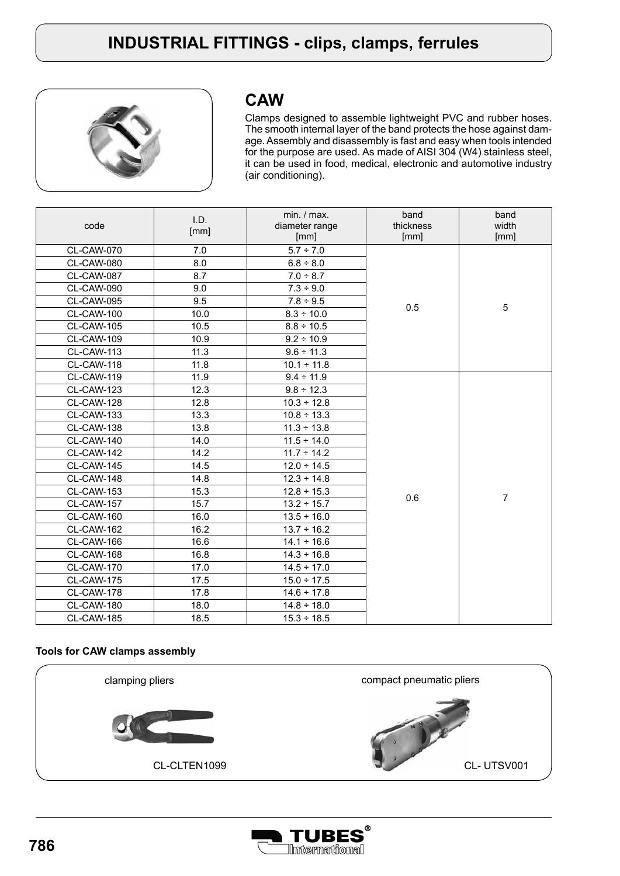

### **CAW**

Clamps designed to assemble lightweight PVC and rubber hoses. The smooth internal layer of the band protects the hose against damage. Assembly and disassembly is fast and easy when tools intended for the purpose are used. As made of AISI 304 (W4) stainless steel, it can be used in food, medical, electronic and automotive industry (air conditioning).

| code              | I.D.<br>[mm] | min. / max.<br>diameter range<br>[mm] | band<br>thickness<br>[mm] | band<br>width<br>[mm] |
|-------------------|--------------|---------------------------------------|---------------------------|-----------------------|
| CL-CAW-070        | 7.0          | $5.7 - 7.0$                           |                           |                       |
| CL-CAW-080        | 8.0          | $6.8 \div 8.0$                        |                           |                       |
| CL-CAW-087        | 8.7          | $7.0 \div 8.7$                        |                           |                       |
| CL-CAW-090        | 9.0          | $7.3 \div 9.0$                        |                           |                       |
| CL-CAW-095        | 9.5          | $7.8 \div 9.5$                        |                           |                       |
| CL-CAW-100        | 10.0         | $8.3 \div 10.0$                       | 0.5                       | 5                     |
| CL-CAW-105        | 10.5         | $8.8 \div 10.5$                       |                           |                       |
| CL-CAW-109        | 10.9         | $9.2 \div 10.9$                       |                           |                       |
| CL-CAW-113        | 11.3         | $9.6 \div 11.3$                       |                           |                       |
| CL-CAW-118        | 11.8         | $10.1 \div 11.8$                      |                           |                       |
| CL-CAW-119        | 11.9         | $9.4 \div 11.9$                       |                           |                       |
| CL-CAW-123        | 12.3         | $9.8 \div 12.3$                       |                           |                       |
| CL-CAW-128        | 12.8         | $10.3 \div 12.8$                      |                           |                       |
| CL-CAW-133        | 13.3         | $10.8 \div 13.3$                      |                           |                       |
| CL-CAW-138        | 13.8         | $11.3 \div 13.8$                      |                           |                       |
| CL-CAW-140        | 14.0         | $11.5 \div 14.0$                      |                           |                       |
| CL-CAW-142        | 14.2         | $11.7 \div 14.2$                      |                           |                       |
| CL-CAW-145        | 14.5         | $12.0 \div 14.5$                      |                           |                       |
| CL-CAW-148        | 14.8         | $12.3 \div 14.8$                      |                           |                       |
| <b>CL-CAW-153</b> | 15.3         | $12.8 \div 15.3$                      |                           |                       |
| <b>CL-CAW-157</b> | 15.7         | $13.2 \div 15.7$                      | 0.6                       | $\overline{7}$        |
| CL-CAW-160        | 16.0         | $13.5 \div 16.0$                      |                           |                       |
| CL-CAW-162        | 16.2         | $13.7 \div 16.2$                      |                           |                       |
| CL-CAW-166        | 16.6         | $14.1 \div 16.6$                      |                           |                       |
| CL-CAW-168        | 16.8         | $14.3 \div 16.8$                      |                           |                       |
| <b>CL-CAW-170</b> | 17.0         | $14.5 \div 17.0$                      |                           |                       |
| CL-CAW-175        | 17.5         | $15.0 \div 17.5$                      |                           |                       |
| CL-CAW-178        | 17.8         | $14.6 \div 17.8$                      |                           |                       |
| CL-CAW-180        | 18.0         | $14.8 \div 18.0$                      |                           |                       |
| CL-CAW-185        | 18.5         | $15.3 \div 18.5$                      |                           |                       |

#### **Tools for CAW clamps assembly**



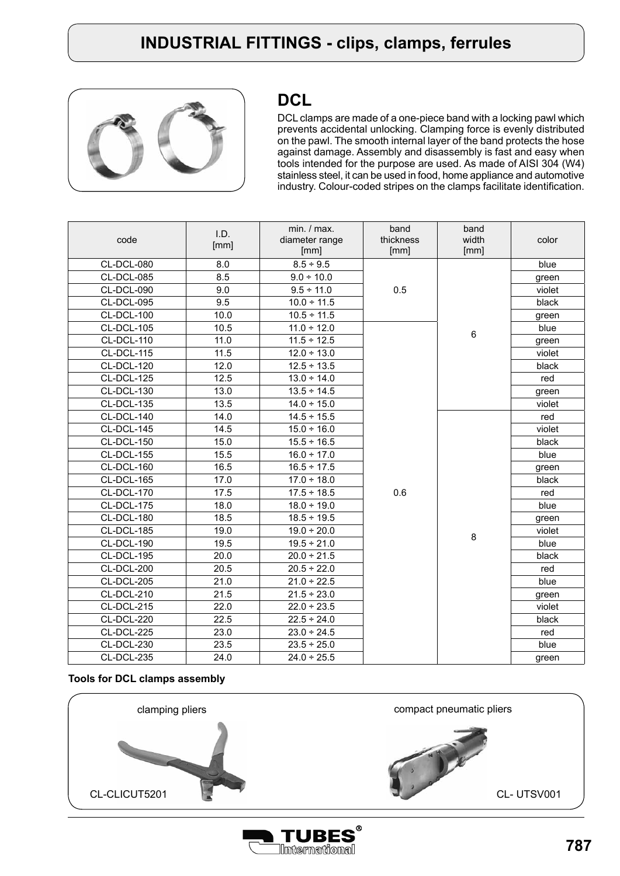

#### **DCL**

DCL clamps are made of a one-piece band with a locking pawl which prevents accidental unlocking. Clamping force is evenly distributed on the pawl. The smooth internal layer of the band protects the hose against damage. Assembly and disassembly is fast and easy when tools intended for the purpose are used. As made of AISI 304 (W4) stainless steel, it can be used in food, home appliance and automotive industry. Colour-coded stripes on the clamps facilitate identification.

| code       | I.D.<br>[mm] | min. / max.<br>diameter range<br>[mm] | band<br>thickness<br>[mm] | band<br>width<br>[mm] | color  |
|------------|--------------|---------------------------------------|---------------------------|-----------------------|--------|
| CL-DCL-080 | 8.0          | $8.5 \div 9.5$                        |                           |                       | blue   |
| CL-DCL-085 | 8.5          | $9.0 \div 10.0$                       |                           |                       | green  |
| CL-DCL-090 | 9.0          | $9.5 \div 11.0$                       | 0.5                       |                       | violet |
| CL-DCL-095 | 9.5          | $10.0 \div 11.5$                      |                           |                       | black  |
| CL-DCL-100 | 10.0         | $10.5 \div 11.5$                      |                           |                       | green  |
| CL-DCL-105 | 10.5         | $11.0 \div 12.0$                      |                           |                       | blue   |
| CL-DCL-110 | 11.0         | $11.5 \div 12.5$                      |                           | $6\phantom{1}$        | green  |
| CL-DCL-115 | 11.5         | $12.0 \div 13.0$                      |                           |                       | violet |
| CL-DCL-120 | 12.0         | $12.5 \div 13.5$                      |                           |                       | black  |
| CL-DCL-125 | 12.5         | $13.0 \div 14.0$                      |                           |                       | red    |
| CL-DCL-130 | 13.0         | $13.5 \div 14.5$                      |                           |                       | green  |
| CL-DCL-135 | 13.5         | $14.0 \div 15.0$                      |                           |                       | violet |
| CL-DCL-140 | 14.0         | $14.5 \div 15.5$                      |                           |                       | red    |
| CL-DCL-145 | 14.5         | $15.0 \div 16.0$                      |                           |                       | violet |
| CL-DCL-150 | 15.0         | $15.5 \div 16.5$                      |                           |                       | black  |
| CL-DCL-155 | 15.5         | $16.0 \div 17.0$                      |                           |                       | blue   |
| CL-DCL-160 | 16.5         | $16.5 \div 17.5$                      |                           |                       | green  |
| CL-DCL-165 | 17.0         | $17.0 \div 18.0$                      |                           |                       | black  |
| CL-DCL-170 | 17.5         | $17.5 \div 18.5$                      | 0.6                       |                       | red    |
| CL-DCL-175 | 18.0         | $18.0 \div 19.0$                      |                           |                       | blue   |
| CL-DCL-180 | 18.5         | $18.5 \div 19.5$                      |                           |                       | green  |
| CL-DCL-185 | 19.0         | $19.0 \div 20.0$                      |                           | 8                     | violet |
| CL-DCL-190 | 19.5         | $19.5 \div 21.0$                      |                           |                       | blue   |
| CL-DCL-195 | 20.0         | $20.0 \div 21.5$                      |                           |                       | black  |
| CL-DCL-200 | 20.5         | $20.5 \div 22.0$                      |                           |                       | red    |
| CL-DCL-205 | 21.0         | $21.0 \div 22.5$                      |                           |                       | blue   |
| CL-DCL-210 | 21.5         | $21.5 \div 23.0$                      |                           |                       | green  |
| CL-DCL-215 | 22.0         | $22.0 \div 23.5$                      |                           |                       | violet |
| CL-DCL-220 | 22.5         | $22.5 \div 24.0$                      |                           |                       | black  |
| CL-DCL-225 | 23.0         | $23.0 \div 24.5$                      |                           |                       | red    |
| CL-DCL-230 | 23.5         | $23.5 \div 25.0$                      |                           |                       | blue   |
| CL-DCL-235 | 24.0         | $24.0 \div 25.5$                      |                           |                       | green  |

#### **Tools for DCL clamps assembly**



International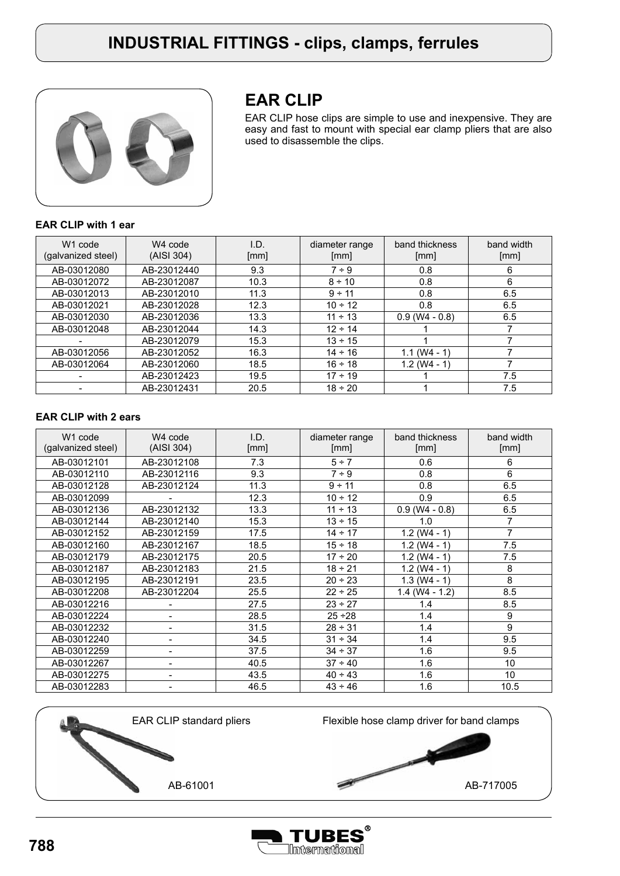

## **EAR CLIP**

EAR CLIP hose clips are simple to use and inexpensive. They are easy and fast to mount with special ear clamp pliers that are also used to disassemble the clips.

#### **EAR CLIP with 1 ear**

| W <sub>1</sub> code<br>(galvanized steel) | W <sub>4</sub> code<br>(AISI 304) | I.D.<br>[mm] | diameter range<br>[mm] | band thickness<br>[mm] | band width<br>[mm] |
|-------------------------------------------|-----------------------------------|--------------|------------------------|------------------------|--------------------|
| AB-03012080                               | AB-23012440                       | 9.3          | $7 - 9$                | 0.8                    | 6                  |
| AB-03012072                               | AB-23012087                       | 10.3         | $8 \div 10$            | 0.8                    | 6                  |
| AB-03012013                               | AB-23012010                       | 11.3         | $9 - 11$               | 0.8                    | 6.5                |
| AB-03012021                               | AB-23012028                       | 12.3         | $10 \div 12$           | 0.8                    | 6.5                |
| AB-03012030                               | AB-23012036                       | 13.3         | $11 \div 13$           | $0.9$ (W4 - 0.8)       | 6.5                |
| AB-03012048                               | AB-23012044                       | 14.3         | $12 \div 14$           |                        |                    |
|                                           | AB-23012079                       | 15.3         | $13 \div 15$           |                        |                    |
| AB-03012056                               | AB-23012052                       | 16.3         | $14 \div 16$           | $1.1 (W4 - 1)$         |                    |
| AB-03012064                               | AB-23012060                       | 18.5         | $16 \div 18$           | $1.2$ (W4 - 1)         |                    |
|                                           | AB-23012423                       | 19.5         | $17 \div 19$           |                        | 7.5                |
|                                           | AB-23012431                       | 20.5         | $18 \div 20$           |                        | 7.5                |

#### **EAR CLIP with 2 ears**

| W <sub>1</sub> code<br>(galvanized steel) | W4 code<br>(AISI 304) | I.D.<br>[mm] | diameter range<br>[mm] | band thickness<br>[mm] | band width<br>[mm] |
|-------------------------------------------|-----------------------|--------------|------------------------|------------------------|--------------------|
| AB-03012101                               | AB-23012108           | 7.3          | $5 \div 7$             | 0.6                    | 6                  |
| AB-03012110                               | AB-23012116           | 9.3          | $7 - 9$                | 0.8                    | 6                  |
| AB-03012128                               | AB-23012124           | 11.3         | $9 - 11$               | 0.8                    | 6.5                |
| AB-03012099                               |                       | 12.3         | $10 - 12$              | 0.9                    | 6.5                |
| AB-03012136                               | AB-23012132           | 13.3         | $11 \div 13$           | $0.9$ (W4 - 0.8)       | 6.5                |
| AB-03012144                               | AB-23012140           | 15.3         | $13 \div 15$           | 1.0                    | $\overline{7}$     |
| AB-03012152                               | AB-23012159           | 17.5         | $14 \div 17$           | $1.2$ (W4 - 1)         | $\overline{7}$     |
| AB-03012160                               | AB-23012167           | 18.5         | $15 \div 18$           | $1.2$ (W4 - 1)         | 7.5                |
| AB-03012179                               | AB-23012175           | 20.5         | $17 \div 20$           | $1.2$ (W4 - 1)         | 7.5                |
| AB-03012187                               | AB-23012183           | 21.5         | $18 \div 21$           | $1.2$ (W4 - 1)         | 8                  |
| AB-03012195                               | AB-23012191           | 23.5         | $20 \div 23$           | $1.3$ (W4 - 1)         | 8                  |
| AB-03012208                               | AB-23012204           | 25.5         | $22 \div 25$           | $1.4$ (W4 - 1.2)       | 8.5                |
| AB-03012216                               |                       | 27.5         | $23 \div 27$           | 1.4                    | 8.5                |
| AB-03012224                               |                       | 28.5         | $25 - 28$              | 1.4                    | 9                  |
| AB-03012232                               |                       | 31.5         | $28 - 31$              | 1.4                    | 9                  |
| AB-03012240                               |                       | 34.5         | $31 \div 34$           | 1.4                    | 9.5                |
| AB-03012259                               |                       | 37.5         | $34 - 37$              | 1.6                    | 9.5                |
| AB-03012267                               |                       | 40.5         | $37 - 40$              | 1.6                    | 10                 |
| AB-03012275                               |                       | 43.5         | $40 \div 43$           | 1.6                    | 10                 |
| AB-03012283                               |                       | 46.5         | $43 \div 46$           | 1.6                    | 10.5               |



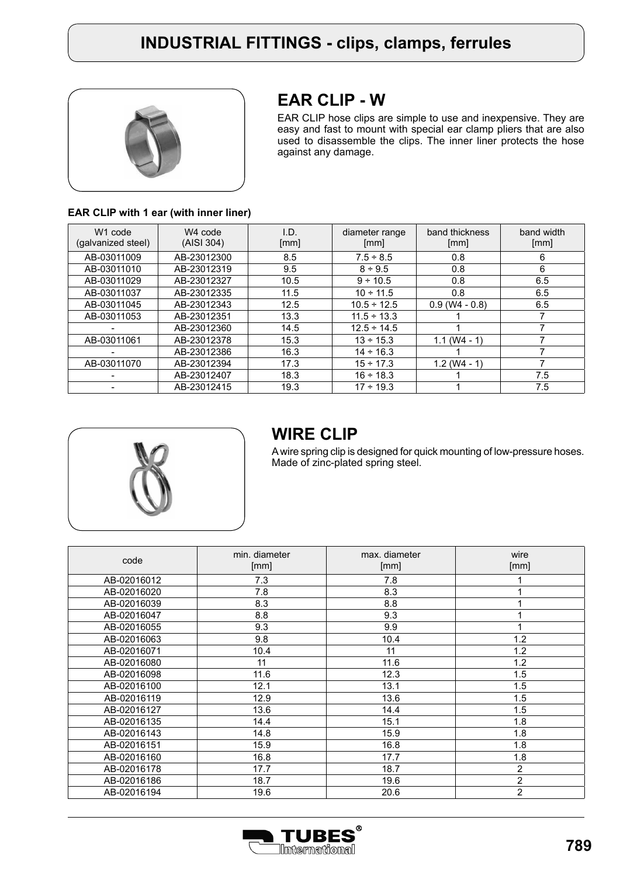

### **EAR CLIP - W**

EAR CLIP hose clips are simple to use and inexpensive. They are easy and fast to mount with special ear clamp pliers that are also used to disassemble the clips. The inner liner protects the hose against any damage.

#### **EAR CLIP with 1 ear (with inner liner)**

| W <sub>1</sub> code<br>(galvanized steel) | W <sub>4</sub> code<br>(AISI 304) | I.D.<br>[mm] | diameter range<br>[mm] | band thickness<br>[mm] | band width<br>[mm] |
|-------------------------------------------|-----------------------------------|--------------|------------------------|------------------------|--------------------|
| AB-03011009                               | AB-23012300                       | 8.5          | $7.5 \div 8.5$         | 0.8                    | 6                  |
| AB-03011010                               | AB-23012319                       | 9.5          | $8 \div 9.5$           | 0.8                    | 6                  |
| AB-03011029                               | AB-23012327                       | 10.5         | $9 \div 10.5$          | 0.8                    | 6.5                |
| AB-03011037                               | AB-23012335                       | 11.5         | $10 \div 11.5$         | 0.8                    | 6.5                |
| AB-03011045                               | AB-23012343                       | 12.5         | $10.5 \div 12.5$       | $0.9$ (W4 - 0.8)       | 6.5                |
| AB-03011053                               | AB-23012351                       | 13.3         | $11.5 \div 13.3$       |                        |                    |
|                                           | AB-23012360                       | 14.5         | $12.5 \div 14.5$       |                        | 7                  |
| AB-03011061                               | AB-23012378                       | 15.3         | $13 \div 15.3$         | $1.1$ (W4 - 1)         |                    |
|                                           | AB-23012386                       | 16.3         | $14 - 16.3$            |                        |                    |
| AB-03011070                               | AB-23012394                       | 17.3         | $15 \div 17.3$         | $1.2$ (W4 - 1)         | ⇁                  |
|                                           | AB-23012407                       | 18.3         | $16 \div 18.3$         |                        | 7.5                |
|                                           | AB-23012415                       | 19.3         | $17 \div 19.3$         |                        | 7.5                |



#### **WIRE CLIP**

A wire spring clip is designed for quick mounting of low-pressure hoses. Made of zinc-plated spring steel.

| code        | min. diameter<br>[mm] | max. diameter<br>[mm] | wire<br>[mm]   |
|-------------|-----------------------|-----------------------|----------------|
|             |                       |                       |                |
| AB-02016012 | 7.3                   | 7.8                   |                |
| AB-02016020 | 7.8                   | 8.3                   |                |
| AB-02016039 | 8.3                   | 8.8                   |                |
| AB-02016047 | 8.8                   | 9.3                   |                |
| AB-02016055 | 9.3                   | 9.9                   | 1              |
| AB-02016063 | 9.8                   | 10.4                  | 1.2            |
| AB-02016071 | 10.4                  | 11                    | 1.2            |
| AB-02016080 | 11                    | 11.6                  | 1.2            |
| AB-02016098 | 11.6                  | 12.3                  | 1.5            |
| AB-02016100 | 12.1                  | 13.1                  | 1.5            |
| AB-02016119 | 12.9                  | 13.6                  | 1.5            |
| AB-02016127 | 13.6                  | 14.4                  | 1.5            |
| AB-02016135 | 14.4                  | 15.1                  | 1.8            |
| AB-02016143 | 14.8                  | 15.9                  | 1.8            |
| AB-02016151 | 15.9                  | 16.8                  | 1.8            |
| AB-02016160 | 16.8                  | 17.7                  | 1.8            |
| AB-02016178 | 17.7                  | 18.7                  | $\overline{2}$ |
| AB-02016186 | 18.7                  | 19.6                  | $\overline{2}$ |
| AB-02016194 | 19.6                  | 20.6                  | $\overline{2}$ |

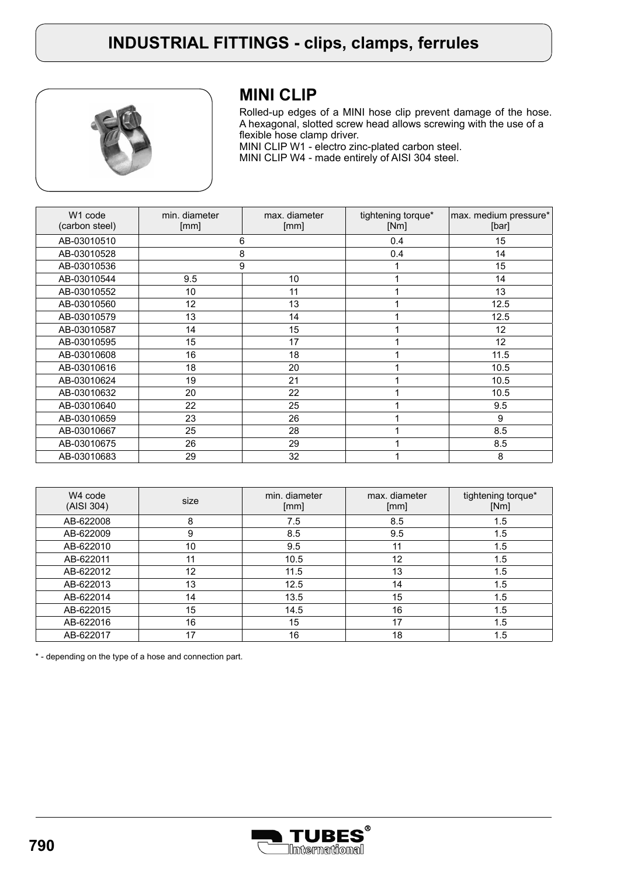

## **MINI CLIP**

Rolled-up edges of a MINI hose clip prevent damage of the hose. A hexagonal, slotted screw head allows screwing with the use of a flexible hose clamp driver. MINI CLIP W1 - electro zinc-plated carbon steel.

MINI CLIP W4 - made entirely of AISI 304 steel.

| W <sub>1</sub> code<br>(carbon steel) | min. diameter<br>[mm] | max. diameter<br>[mm] | tightening torque*<br>[Nm] | max. medium pressure*<br>[bar] |
|---------------------------------------|-----------------------|-----------------------|----------------------------|--------------------------------|
| AB-03010510                           |                       | 6                     | 0.4                        | 15                             |
| AB-03010528                           |                       | 8                     | 0.4                        | 14                             |
| AB-03010536                           |                       | 9                     |                            | 15                             |
| AB-03010544                           | 9.5                   | 10 <sup>1</sup>       | 1                          | 14                             |
| AB-03010552                           | 10                    | 11                    | 1                          | 13                             |
| AB-03010560                           | 12                    | 13                    |                            | 12.5                           |
| AB-03010579                           | 13                    | 14                    |                            | 12.5                           |
| AB-03010587                           | 14                    | 15                    |                            | 12 <sup>2</sup>                |
| AB-03010595                           | 15                    | 17                    |                            | 12                             |
| AB-03010608                           | 16                    | 18                    |                            | 11.5                           |
| AB-03010616                           | 18                    | 20                    |                            | 10.5                           |
| AB-03010624                           | 19                    | 21                    |                            | 10.5                           |
| AB-03010632                           | 20                    | 22                    |                            | 10.5                           |
| AB-03010640                           | 22                    | 25                    |                            | 9.5                            |
| AB-03010659                           | 23                    | 26                    |                            | 9                              |
| AB-03010667                           | 25                    | 28                    |                            | 8.5                            |
| AB-03010675                           | 26                    | 29                    |                            | 8.5                            |
| AB-03010683                           | 29                    | 32                    |                            | 8                              |

| W <sub>4</sub> code<br>(AISI 304) | size | min. diameter<br>[mm] | max. diameter<br>[mm] | tightening torque*<br>[Nm] |
|-----------------------------------|------|-----------------------|-----------------------|----------------------------|
| AB-622008                         | 8    | 7.5                   | 8.5                   | 1.5                        |
| AB-622009                         | 9    | 8.5                   | 9.5                   | 1.5                        |
| AB-622010                         | 10   | 9.5                   | 11                    | 1.5                        |
| AB-622011                         | 11   | 10.5                  | 12                    | 1.5                        |
| AB-622012                         | 12   | 11.5                  | 13                    | 1.5                        |
| AB-622013                         | 13   | 12.5                  | 14                    | 1.5                        |
| AB-622014                         | 14   | 13.5                  | 15                    | 1.5                        |
| AB-622015                         | 15   | 14.5                  | 16                    | 1.5                        |
| AB-622016                         | 16   | 15                    | 17                    | 1.5                        |
| AB-622017                         | 17   | 16                    | 18                    | 1.5                        |

\* - depending on the type of a hose and connection part.

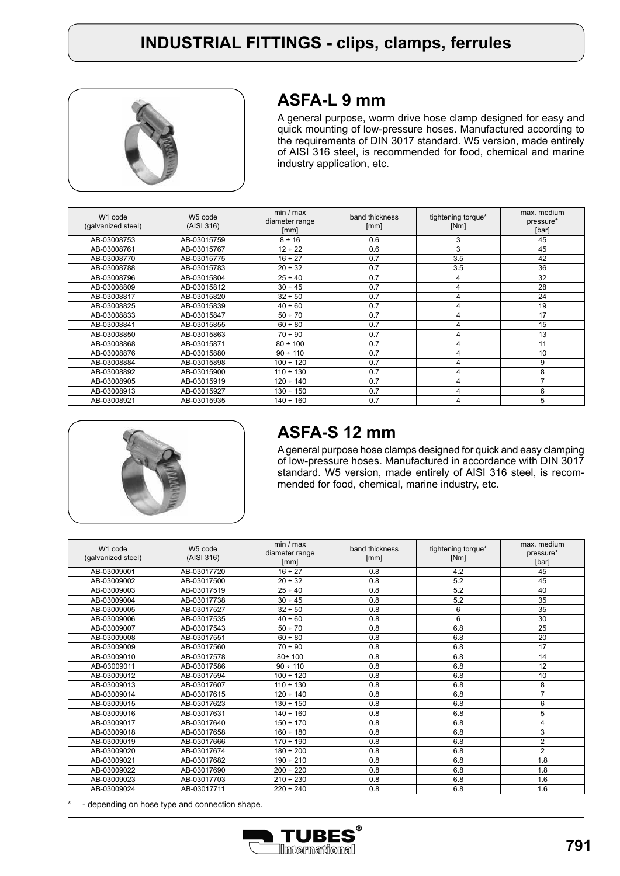

## **ASFA-L 9 mm**

A general purpose, worm drive hose clamp designed for easy and quick mounting of low-pressure hoses. Manufactured according to the requirements of DIN 3017 standard. W5 version, made entirely of AISI 316 steel, is recommended for food, chemical and marine industry application, etc.

| W <sub>1</sub> code<br>(galvanized steel) | W <sub>5</sub> code<br>(AISI 316) | min / max<br>diameter range<br>[mm] | band thickness<br>[mm] | tightening torque*<br>[Nm] | max. medium<br>pressure*<br>[bar] |
|-------------------------------------------|-----------------------------------|-------------------------------------|------------------------|----------------------------|-----------------------------------|
| AB-03008753                               | AB-03015759                       | $8 \div 16$                         | 0.6                    | 3                          | 45                                |
| AB-03008761                               | AB-03015767                       | $12 \div 22$                        | 0.6                    | 3                          | 45                                |
| AB-03008770                               | AB-03015775                       | $16 \div 27$                        | 0.7                    | 3.5                        | 42                                |
| AB-03008788                               | AB-03015783                       | $20 \div 32$                        | 0.7                    | 3.5                        | 36                                |
| AB-03008796                               | AB-03015804                       | $25 \div 40$                        | 0.7                    | 4                          | 32                                |
| AB-03008809                               | AB-03015812                       | $30 \div 45$                        | 0.7                    | 4                          | 28                                |
| AB-03008817                               | AB-03015820                       | 32 ÷ 50                             | 0.7                    | 4                          | 24                                |
| AB-03008825                               | AB-03015839                       | $40 \div 60$                        | 0.7                    | 4                          | 19                                |
| AB-03008833                               | AB-03015847                       | $50 \div 70$                        | 0.7                    | 4                          | 17                                |
| AB-03008841                               | AB-03015855                       | 60 ÷ 80                             | 0.7                    | 4                          | 15                                |
| AB-03008850                               | AB-03015863                       | $70 \div 90$                        | 0.7                    | $\overline{4}$             | 13                                |
| AB-03008868                               | AB-03015871                       | $80 \div 100$                       | 0.7                    | 4                          | 11                                |
| AB-03008876                               | AB-03015880                       | $90 \div 110$                       | 0.7                    | 4                          | 10                                |
| AB-03008884                               | AB-03015898                       | $100 \div 120$                      | 0.7                    | 4                          | 9                                 |
| AB-03008892                               | AB-03015900                       | $110 \div 130$                      | 0.7                    | 4                          | 8                                 |
| AB-03008905                               | AB-03015919                       | $120 \div 140$                      | 0.7                    | 4                          |                                   |
| AB-03008913                               | AB-03015927                       | $130 \div 150$                      | 0.7                    | $\overline{4}$             | 6                                 |
| AB-03008921                               | AB-03015935                       | $140 \div 160$                      | 0.7                    | 4                          | 5                                 |



# **ASFA-S 12 mm**

A general purpose hose clamps designed for quick and easy clamping of low-pressure hoses. Manufactured in accordance with DIN 3017 standard. W5 version, made entirely of AISI 316 steel, is recommended for food, chemical, marine industry, etc.

| W1 code<br>(galvanized steel) | W5 code<br>(AISI 316) | min / max<br>diameter range<br>[mm] | band thickness<br>[mm] | tightening torque*<br>[Nm] | max. medium<br>pressure*<br>[bar] |
|-------------------------------|-----------------------|-------------------------------------|------------------------|----------------------------|-----------------------------------|
| AB-03009001                   | AB-03017720           | $16 \div 27$                        | 0.8                    | 4.2                        | 45                                |
| AB-03009002                   | AB-03017500           | $20 \div 32$                        | 0.8                    | 5.2                        | 45                                |
| AB-03009003                   | AB-03017519           | $25 \div 40$                        | 0.8                    | 5.2                        | 40                                |
| AB-03009004                   | AB-03017738           | $30 \div 45$                        | 0.8                    | 5.2                        | 35                                |
| AB-03009005                   | AB-03017527           | 32 ÷ 50                             | 0.8                    | 6                          | 35                                |
| AB-03009006                   | AB-03017535           | $40 \div 60$                        | 0.8                    | 6                          | 30                                |
| AB-03009007                   | AB-03017543           | 50 ÷ 70                             | 0.8                    | 6.8                        | 25                                |
| AB-03009008                   | AB-03017551           | 60 ÷ 80                             | 0.8                    | 6.8                        | 20                                |
| AB-03009009                   | AB-03017560           | $70 \div 90$                        | 0.8                    | 6.8                        | 17                                |
| AB-03009010                   | AB-03017578           | $80 \div 100$                       | 0.8                    | 6.8                        | 14                                |
| AB-03009011                   | AB-03017586           | $90 \div 110$                       | 0.8                    | 6.8                        | 12                                |
| AB-03009012                   | AB-03017594           | $100 \div 120$                      | 0.8                    | 6.8                        | 10                                |
| AB-03009013                   | AB-03017607           | $110 \div 130$                      | 0.8                    | 6.8                        | 8                                 |
| AB-03009014                   | AB-03017615           | $120 \div 140$                      | 0.8                    | 6.8                        | $\overline{7}$                    |
| AB-03009015                   | AB-03017623           | $130 \div 150$                      | 0.8                    | 6.8                        | 6                                 |
| AB-03009016                   | AB-03017631           | $140 \div 160$                      | 0.8                    | 6.8                        | 5                                 |
| AB-03009017                   | AB-03017640           | $150 \div 170$                      | 0.8                    | 6.8                        | 4                                 |
| AB-03009018                   | AB-03017658           | $160 \div 180$                      | 0.8                    | 6.8                        | 3                                 |
| AB-03009019                   | AB-03017666           | $170 \div 190$                      | 0.8                    | 6.8                        | $\overline{2}$                    |
| AB-03009020                   | AB-03017674           | $180 \div 200$                      | 0.8                    | 6.8                        | $\overline{2}$                    |
| AB-03009021                   | AB-03017682           | $190 \div 210$                      | 0.8                    | 6.8                        | 1.8                               |
| AB-03009022                   | AB-03017690           | $200 \div 220$                      | 0.8                    | 6.8                        | 1.8                               |
| AB-03009023                   | AB-03017703           | $210 \div 230$                      | 0.8                    | 6.8                        | 1.6                               |
| AB-03009024                   | AB-03017711           | $220 \div 240$                      | 0.8                    | 6.8                        | 1.6                               |

- depending on hose type and connection shape.

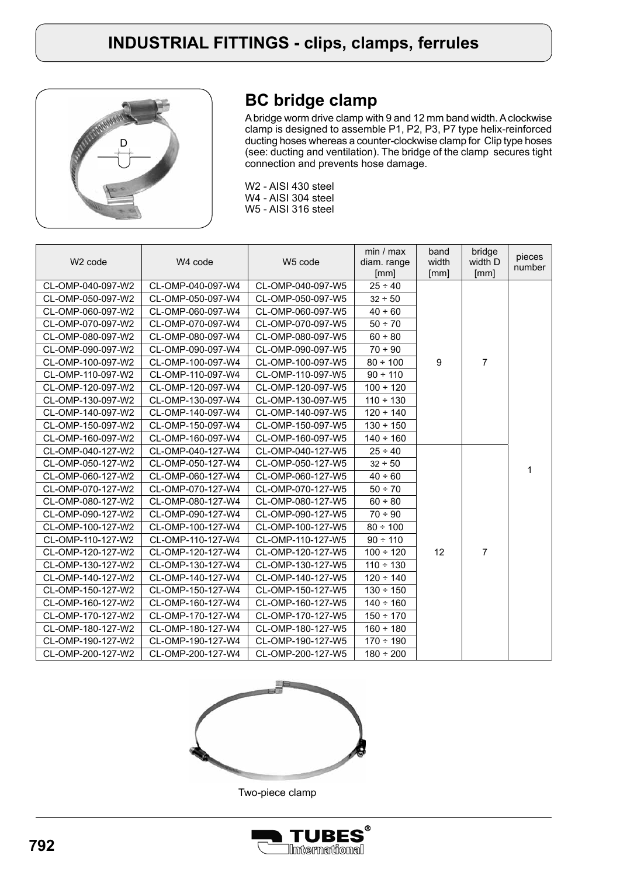

# **BC bridge clamp**

A bridge worm drive clamp with 9 and 12 mm band width. A clockwise clamp is designed to assemble P1, P2, P3, P7 type helix-reinforced ducting hoses whereas a counter-clockwise clamp for Clip type hoses (see: ducting and ventilation). The bridge of the clamp secures tight connection and prevents hose damage.

W2 - AISI 430 steel W4 - AISI 304 steel W5 - AISI 316 steel

| W <sub>2</sub> code | W <sub>4</sub> code | W <sub>5</sub> code | min / max<br>diam. range<br>[mm] | band<br>width<br>[mm] | bridge<br>width D<br>[mm] | pieces<br>number |
|---------------------|---------------------|---------------------|----------------------------------|-----------------------|---------------------------|------------------|
| CL-OMP-040-097-W2   | CL-OMP-040-097-W4   | CL-OMP-040-097-W5   | $25 \div 40$                     |                       |                           |                  |
| CL-OMP-050-097-W2   | CL-OMP-050-097-W4   | CL-OMP-050-097-W5   | $32 - 50$                        |                       |                           |                  |
| CL-OMP-060-097-W2   | CL-OMP-060-097-W4   | CL-OMP-060-097-W5   | $40 \div 60$                     |                       |                           |                  |
| CL-OMP-070-097-W2   | CL-OMP-070-097-W4   | CL-OMP-070-097-W5   | 50 ÷ 70                          |                       |                           |                  |
| CL-OMP-080-097-W2   | CL-OMP-080-097-W4   | CL-OMP-080-097-W5   | $60 \div 80$                     |                       |                           |                  |
| CL-OMP-090-097-W2   | CL-OMP-090-097-W4   | CL-OMP-090-097-W5   | $70 \div 90$                     |                       |                           |                  |
| CL-OMP-100-097-W2   | CL-OMP-100-097-W4   | CL-OMP-100-097-W5   | $80 \div 100$                    | 9                     | $\overline{7}$            |                  |
| CL-OMP-110-097-W2   | CL-OMP-110-097-W4   | CL-OMP-110-097-W5   | $90 \div 110$                    |                       |                           |                  |
| CL-OMP-120-097-W2   | CL-OMP-120-097-W4   | CL-OMP-120-097-W5   | $100 \div 120$                   |                       |                           |                  |
| CL-OMP-130-097-W2   | CL-OMP-130-097-W4   | CL-OMP-130-097-W5   | $110 \div 130$                   |                       |                           |                  |
| CL-OMP-140-097-W2   | CL-OMP-140-097-W4   | CL-OMP-140-097-W5   | $120 \div 140$                   |                       |                           |                  |
| CL-OMP-150-097-W2   | CL-OMP-150-097-W4   | CL-OMP-150-097-W5   | $130 \div 150$                   |                       |                           |                  |
| CL-OMP-160-097-W2   | CL-OMP-160-097-W4   | CL-OMP-160-097-W5   | $140 \div 160$                   |                       |                           |                  |
| CL-OMP-040-127-W2   | CL-OMP-040-127-W4   | CL-OMP-040-127-W5   | $25 \div 40$                     |                       |                           |                  |
| CL-OMP-050-127-W2   | CL-OMP-050-127-W4   | CL-OMP-050-127-W5   | $32 - 50$                        |                       |                           | 1                |
| CL-OMP-060-127-W2   | CL-OMP-060-127-W4   | CL-OMP-060-127-W5   | $40 \div 60$                     |                       |                           |                  |
| CL-OMP-070-127-W2   | CL-OMP-070-127-W4   | CL-OMP-070-127-W5   | 50 ÷ 70                          |                       |                           |                  |
| CL-OMP-080-127-W2   | CL-OMP-080-127-W4   | CL-OMP-080-127-W5   | $60 \div 80$                     |                       |                           |                  |
| CL-OMP-090-127-W2   | CL-OMP-090-127-W4   | CL-OMP-090-127-W5   | $70 \div 90$                     |                       |                           |                  |
| CL-OMP-100-127-W2   | CL-OMP-100-127-W4   | CL-OMP-100-127-W5   | $80 \div 100$                    |                       |                           |                  |
| CL-OMP-110-127-W2   | CL-OMP-110-127-W4   | CL-OMP-110-127-W5   | $90 \div 110$                    |                       |                           |                  |
| CL-OMP-120-127-W2   | CL-OMP-120-127-W4   | CL-OMP-120-127-W5   | $100 \div 120$                   | 12                    | $\overline{7}$            |                  |
| CL-OMP-130-127-W2   | CL-OMP-130-127-W4   | CL-OMP-130-127-W5   | $110 \div 130$                   |                       |                           |                  |
| CL-OMP-140-127-W2   | CL-OMP-140-127-W4   | CL-OMP-140-127-W5   | $120 \div 140$                   |                       |                           |                  |
| CL-OMP-150-127-W2   | CL-OMP-150-127-W4   | CL-OMP-150-127-W5   | $130 \div 150$                   |                       |                           |                  |
| CL-OMP-160-127-W2   | CL-OMP-160-127-W4   | CL-OMP-160-127-W5   | $140 \div 160$                   |                       |                           |                  |
| CL-OMP-170-127-W2   | CL-OMP-170-127-W4   | CL-OMP-170-127-W5   | $150 \div 170$                   |                       |                           |                  |
| CL-OMP-180-127-W2   | CL-OMP-180-127-W4   | CL-OMP-180-127-W5   | $160 \div 180$                   |                       |                           |                  |
| CL-OMP-190-127-W2   | CL-OMP-190-127-W4   | CL-OMP-190-127-W5   | $170 \div 190$                   |                       |                           |                  |
| CL-OMP-200-127-W2   | CL-OMP-200-127-W4   | CL-OMP-200-127-W5   | $180 \div 200$                   |                       |                           |                  |



Two-piece clamp

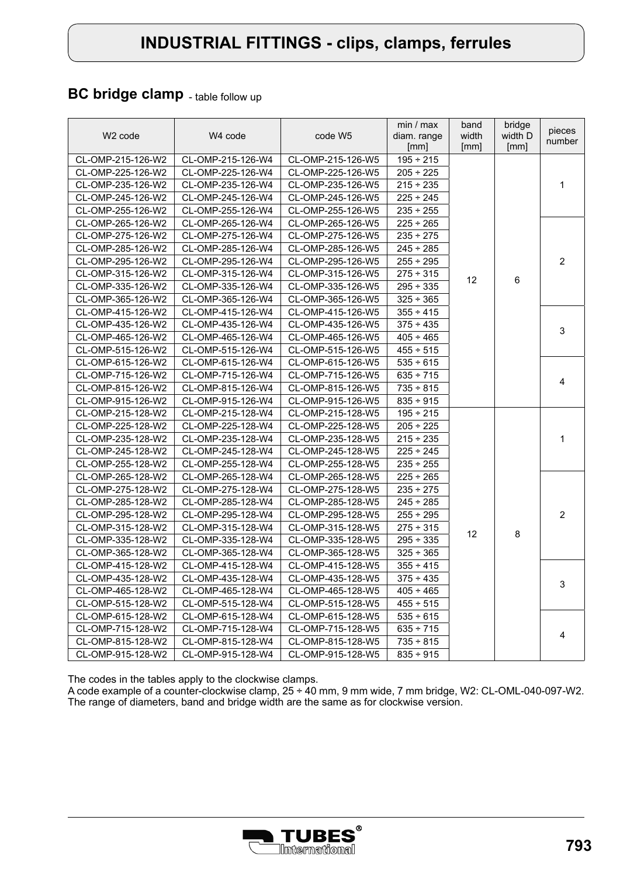### **BC bridge clamp** - table follow up

| W <sub>2</sub> code | W4 code           | code W5           | min / max<br>diam. range<br>[mm] | band<br>width<br>[mm] | bridge<br>width D<br>[mm] | pieces<br>number |
|---------------------|-------------------|-------------------|----------------------------------|-----------------------|---------------------------|------------------|
| CL-OMP-215-126-W2   | CL-OMP-215-126-W4 | CL-OMP-215-126-W5 | $195 - 215$                      |                       |                           |                  |
| CL-OMP-225-126-W2   | CL-OMP-225-126-W4 | CL-OMP-225-126-W5 | $205 \div 225$                   |                       |                           |                  |
| CL-OMP-235-126-W2   | CL-OMP-235-126-W4 | CL-OMP-235-126-W5 | $215 \div 235$                   |                       |                           | 1                |
| CL-OMP-245-126-W2   | CL-OMP-245-126-W4 | CL-OMP-245-126-W5 | $225 \div 245$                   |                       |                           |                  |
| CL-OMP-255-126-W2   | CL-OMP-255-126-W4 | CL-OMP-255-126-W5 | $235 \div 255$                   |                       |                           |                  |
| CL-OMP-265-126-W2   | CL-OMP-265-126-W4 | CL-OMP-265-126-W5 | $225 \div 265$                   |                       |                           |                  |
| CL-OMP-275-126-W2   | CL-OMP-275-126-W4 | CL-OMP-275-126-W5 | $235 \div 275$                   |                       |                           |                  |
| CL-OMP-285-126-W2   | CL-OMP-285-126-W4 | CL-OMP-285-126-W5 | $245 \div 285$                   |                       |                           |                  |
| CL-OMP-295-126-W2   | CL-OMP-295-126-W4 | CL-OMP-295-126-W5 | $255 \div 295$                   |                       |                           | $\overline{2}$   |
| CL-OMP-315-126-W2   | CL-OMP-315-126-W4 | CL-OMP-315-126-W5 | $275 \div 315$                   |                       |                           |                  |
| CL-OMP-335-126-W2   | CL-OMP-335-126-W4 | CL-OMP-335-126-W5 | $295 \div 335$                   | 12                    | 6                         |                  |
| CL-OMP-365-126-W2   | CL-OMP-365-126-W4 | CL-OMP-365-126-W5 | $325 \div 365$                   |                       |                           |                  |
| CL-OMP-415-126-W2   | CL-OMP-415-126-W4 | CL-OMP-415-126-W5 | $355 \div 415$                   |                       |                           |                  |
| CL-OMP-435-126-W2   | CL-OMP-435-126-W4 | CL-OMP-435-126-W5 | $375 \div 435$                   |                       |                           |                  |
| CL-OMP-465-126-W2   | CL-OMP-465-126-W4 | CL-OMP-465-126-W5 | $405 \div 465$                   |                       |                           | 3                |
| CL-OMP-515-126-W2   | CL-OMP-515-126-W4 | CL-OMP-515-126-W5 | $455 \div 515$                   |                       |                           |                  |
| CL-OMP-615-126-W2   | CL-OMP-615-126-W4 | CL-OMP-615-126-W5 | $535 \div 615$                   |                       |                           |                  |
| CL-OMP-715-126-W2   | CL-OMP-715-126-W4 | CL-OMP-715-126-W5 | $635 \div 715$                   |                       |                           |                  |
| CL-OMP-815-126-W2   | CL-OMP-815-126-W4 | CL-OMP-815-126-W5 | $735 \div 815$                   |                       |                           | 4                |
| CL-OMP-915-126-W2   | CL-OMP-915-126-W4 | CL-OMP-915-126-W5 | $835 \div 915$                   |                       |                           |                  |
| CL-OMP-215-128-W2   | CL-OMP-215-128-W4 | CL-OMP-215-128-W5 | $195 - 215$                      |                       |                           |                  |
| CL-OMP-225-128-W2   | CL-OMP-225-128-W4 | CL-OMP-225-128-W5 | $205 \div 225$                   |                       |                           |                  |
| CL-OMP-235-128-W2   | CL-OMP-235-128-W4 | CL-OMP-235-128-W5 | $215 \div 235$                   |                       |                           | $\mathbf{1}$     |
| CL-OMP-245-128-W2   | CL-OMP-245-128-W4 | CL-OMP-245-128-W5 | $225 \div 245$                   |                       |                           |                  |
| CL-OMP-255-128-W2   | CL-OMP-255-128-W4 | CL-OMP-255-128-W5 | $235 \div 255$                   |                       |                           |                  |
| CL-OMP-265-128-W2   | CL-OMP-265-128-W4 | CL-OMP-265-128-W5 | $225 \div 265$                   |                       |                           |                  |
| CL-OMP-275-128-W2   | CL-OMP-275-128-W4 | CL-OMP-275-128-W5 | $235 \div 275$                   |                       |                           |                  |
| CL-OMP-285-128-W2   | CL-OMP-285-128-W4 | CL-OMP-285-128-W5 | $245 \div 285$                   |                       |                           |                  |
| CL-OMP-295-128-W2   | CL-OMP-295-128-W4 | CL-OMP-295-128-W5 | $255 \div 295$                   |                       |                           | $\overline{2}$   |
| CL-OMP-315-128-W2   | CL-OMP-315-128-W4 | CL-OMP-315-128-W5 | $275 \div 315$                   |                       |                           |                  |
| CL-OMP-335-128-W2   | CL-OMP-335-128-W4 | CL-OMP-335-128-W5 | $295 \div 335$                   | 12                    | 8                         |                  |
| CL-OMP-365-128-W2   | CL-OMP-365-128-W4 | CL-OMP-365-128-W5 | $325 \div 365$                   |                       |                           |                  |
| CL-OMP-415-128-W2   | CL-OMP-415-128-W4 | CL-OMP-415-128-W5 | $355 \div 415$                   |                       |                           |                  |
| CL-OMP-435-128-W2   | CL-OMP-435-128-W4 | CL-OMP-435-128-W5 | $375 \div 435$                   |                       |                           |                  |
| CL-OMP-465-128-W2   | CL-OMP-465-128-W4 | CL-OMP-465-128-W5 | $405 \div 465$                   |                       |                           | 3                |
| CL-OMP-515-128-W2   | CL-OMP-515-128-W4 | CL-OMP-515-128-W5 | $455 \div 515$                   |                       |                           |                  |
| CL-OMP-615-128-W2   | CL-OMP-615-128-W4 | CL-OMP-615-128-W5 | $535 \div 615$                   |                       |                           |                  |
| CL-OMP-715-128-W2   | CL-OMP-715-128-W4 | CL-OMP-715-128-W5 | $635 \div 715$                   |                       |                           |                  |
| CL-OMP-815-128-W2   | CL-OMP-815-128-W4 | CL-OMP-815-128-W5 | $735 \div 815$                   |                       |                           | 4                |
| CL-OMP-915-128-W2   | CL-OMP-915-128-W4 | CL-OMP-915-128-W5 | $835 \div 915$                   |                       |                           |                  |

The codes in the tables apply to the clockwise clamps.

A code example of a counter-clockwise clamp, 25 ÷ 40 mm, 9 mm wide, 7 mm bridge, W2: CL-OML-040-097-W2. The range of diameters, band and bridge width are the same as for clockwise version.

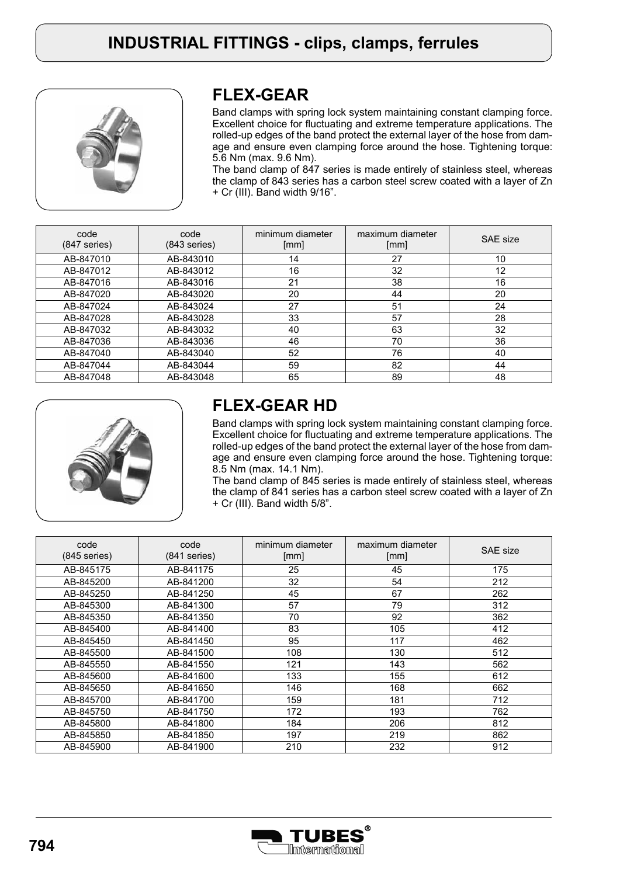

## **FLEX-GEAR**

Band clamps with spring lock system maintaining constant clamping force. Excellent choice for fluctuating and extreme temperature applications. The rolled-up edges of the band protect the external layer of the hose from damage and ensure even clamping force around the hose. Tightening torque: 5.6 Nm (max. 9.6 Nm).

The band clamp of 847 series is made entirely of stainless steel, whereas the clamp of 843 series has a carbon steel screw coated with a layer of Zn + Cr (III). Band width 9/16".

| code<br>$(847$ series) | code<br>$(843$ series) | minimum diameter<br>[mm] | maximum diameter<br>[mm] | SAE size |
|------------------------|------------------------|--------------------------|--------------------------|----------|
| AB-847010              | AB-843010              | 14                       | 27                       | 10       |
| AB-847012              | AB-843012              | 16                       | 32                       | 12       |
| AB-847016              | AB-843016              | 21                       | 38                       | 16       |
| AB-847020              | AB-843020              | 20                       | 44                       | 20       |
| AB-847024              | AB-843024              | 27                       | 51                       | 24       |
| AB-847028              | AB-843028              | 33                       | 57                       | 28       |
| AB-847032              | AB-843032              | 40                       | 63                       | 32       |
| AB-847036              | AB-843036              | 46                       | 70                       | 36       |
| AB-847040              | AB-843040              | 52                       | 76                       | 40       |
| AB-847044              | AB-843044              | 59                       | 82                       | 44       |
| AB-847048              | AB-843048              | 65                       | 89                       | 48       |



## **FLEX-GEAR HD**

Band clamps with spring lock system maintaining constant clamping force. Excellent choice for fluctuating and extreme temperature applications. The rolled-up edges of the band protect the external layer of the hose from damage and ensure even clamping force around the hose. Tightening torque: 8.5 Nm (max. 14.1 Nm).

The band clamp of 845 series is made entirely of stainless steel, whereas the clamp of 841 series has a carbon steel screw coated with a layer of Zn + Cr (III). Band width 5/8".

| code<br>(845 series) | code<br>$(841$ series) | minimum diameter<br>[mm] | maximum diameter<br>[mm] | SAE size |
|----------------------|------------------------|--------------------------|--------------------------|----------|
| AB-845175            | AB-841175              | 25                       | 45                       | 175      |
| AB-845200            | AB-841200              | 32                       | 54                       | 212      |
| AB-845250            | AB-841250              | 45                       | 67                       | 262      |
| AB-845300            | AB-841300              | 57                       | 79                       | 312      |
| AB-845350            | AB-841350              | 70                       | 92                       | 362      |
| AB-845400            | AB-841400              | 83                       | 105                      | 412      |
| AB-845450            | AB-841450              | 95                       | 117                      | 462      |
| AB-845500            | AB-841500              | 108                      | 130                      | 512      |
| AB-845550            | AB-841550              | 121                      | 143                      | 562      |
| AB-845600            | AB-841600              | 133                      | 155                      | 612      |
| AB-845650            | AB-841650              | 146                      | 168                      | 662      |
| AB-845700            | AB-841700              | 159                      | 181                      | 712      |
| AB-845750            | AB-841750              | 172                      | 193                      | 762      |
| AB-845800            | AB-841800              | 184                      | 206                      | 812      |
| AB-845850            | AB-841850              | 197                      | 219                      | 862      |
| AB-845900            | AB-841900              | 210                      | 232                      | 912      |

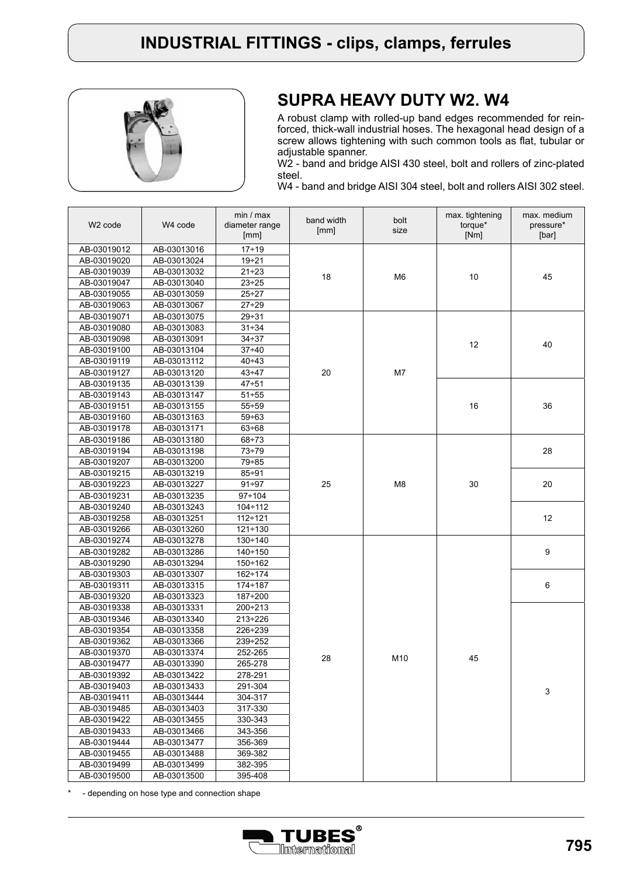

### **SUPRA HEAVY DUTY W2. W4**

A robust clamp with rolled-up band edges recommended for reinforced, thick-wall industrial hoses. The hexagonal head design of a screw allows tightening with such common tools as flat, tubular or adjustable spanner.

W2 - band and bridge AISI 430 steel, bolt and rollers of zinc-plated steel.

W4 - band and bridge AISI 304 steel, bolt and rollers AISI 302 steel.

| W <sub>2</sub> code        | W <sub>4</sub> code        | min / max<br>diameter range<br>[mm] | band width<br>[mm]   | bolt<br>size    | max. tightening<br>torque*<br>[Nm] | max. medium<br>pressure*<br>[bar] |
|----------------------------|----------------------------|-------------------------------------|----------------------|-----------------|------------------------------------|-----------------------------------|
| AB-03019012                | AB-03013016                | $17 + 19$                           |                      |                 |                                    |                                   |
| AB-03019020                | AB-03013024                | $19 + 21$                           |                      |                 |                                    |                                   |
| AB-03019039                | AB-03013032                | $21 + 23$                           | 18<br>M <sub>6</sub> |                 |                                    |                                   |
| AB-03019047                | AB-03013040                | $23 + 25$                           |                      |                 | 10                                 | 45                                |
| AB-03019055                | AB-03013059                | $25 + 27$                           |                      |                 |                                    |                                   |
| AB-03019063                | AB-03013067                | $27 + 29$                           |                      |                 |                                    |                                   |
| AB-03019071                | AB-03013075                | $29 + 31$                           |                      |                 | 12                                 |                                   |
| AB-03019080                | AB-03013083                | $31 + 34$                           |                      |                 |                                    |                                   |
| AB-03019098                | AB-03013091                | $34 \div 37$                        |                      |                 |                                    | 40                                |
| AB-03019100                | AB-03013104                | $37 + 40$                           |                      |                 |                                    |                                   |
| AB-03019119                | AB-03013112                | $40 + 43$                           |                      |                 |                                    |                                   |
| AB-03019127                | AB-03013120                | $43 + 47$                           | 20                   | M7              |                                    |                                   |
| AB-03019135                | AB-03013139                | $47 + 51$                           |                      |                 |                                    | 36                                |
| AB-03019143                | AB-03013147                | $51 + 55$                           |                      |                 |                                    |                                   |
| AB-03019151                | AB-03013155                | $55 + 59$                           |                      |                 | 16                                 |                                   |
| AB-03019160                | AB-03013163                | $59 + 63$                           |                      |                 |                                    |                                   |
| AB-03019178                | AB-03013171                | $63 + 68$                           |                      |                 |                                    |                                   |
| AB-03019186                | AB-03013180                | $68 + 73$                           |                      |                 |                                    |                                   |
| AB-03019194                | AB-03013198                | $73 + 79$                           |                      |                 |                                    | 28                                |
| AB-03019207                | AB-03013200                | $79 + 85$                           |                      |                 | 30                                 |                                   |
| AB-03019215                | AB-03013219                | $85 + 91$                           |                      | M <sub>8</sub>  |                                    |                                   |
| AB-03019223                | AB-03013227                | $91 + 97$                           | 25                   |                 |                                    | 20                                |
| AB-03019231                | AB-03013235                | $97 \div 104$                       |                      |                 |                                    |                                   |
| AB-03019240                | AB-03013243                | $104 + 112$                         |                      |                 |                                    |                                   |
| AB-03019258                | AB-03013251                | $112 + 121$                         |                      |                 |                                    | 12                                |
| AB-03019266                | AB-03013260                | $121 + 130$                         |                      |                 |                                    |                                   |
| AB-03019274                | AB-03013278                | $130 \div 140$                      |                      |                 | 45                                 |                                   |
| AB-03019282                | AB-03013286                | $140 + 150$                         |                      |                 |                                    | 9                                 |
| AB-03019290                | AB-03013294                | $150 \div 162$                      |                      |                 |                                    |                                   |
| AB-03019303                | AB-03013307                | $162 \div 174$                      |                      |                 |                                    |                                   |
| AB-03019311                | AB-03013315                | $174 \div 187$                      |                      |                 |                                    | 6                                 |
| AB-03019320                | AB-03013323                | $187 + 200$                         |                      |                 |                                    |                                   |
| AB-03019338                | AB-03013331                | $200 + 213$                         |                      | M <sub>10</sub> |                                    |                                   |
| AB-03019346                | AB-03013340                | $213 + 226$                         |                      |                 |                                    |                                   |
| AB-03019354                | AB-03013358                | $226 + 239$                         |                      |                 |                                    |                                   |
| AB-03019362<br>AB-03019370 | AB-03013366                | 239÷252                             |                      |                 |                                    |                                   |
|                            | AB-03013374                | 252-265                             | 28                   |                 |                                    |                                   |
| AB-03019477                | AB-03013390<br>AB-03013422 | 265-278                             |                      |                 |                                    |                                   |
| AB-03019392                |                            | 278-291                             |                      |                 |                                    |                                   |
| AB-03019403<br>AB-03019411 | AB-03013433<br>AB-03013444 | 291-304<br>304-317                  |                      |                 |                                    | 3                                 |
| AB-03019485                | AB-03013403                | 317-330                             |                      |                 |                                    |                                   |
| AB-03019422                | AB-03013455                | 330-343                             |                      |                 |                                    |                                   |
| AB-03019433                | AB-03013466                | 343-356                             |                      |                 |                                    |                                   |
| AB-03019444                | AB-03013477                | 356-369                             |                      |                 |                                    |                                   |
| AB-03019455                | AB-03013488                | 369-382                             |                      |                 |                                    |                                   |
| AB-03019499                | AB-03013499                | 382-395                             |                      |                 |                                    |                                   |
| AB-03019500                | AB-03013500                | 395-408                             |                      |                 |                                    |                                   |

- depending on hose type and connection shape

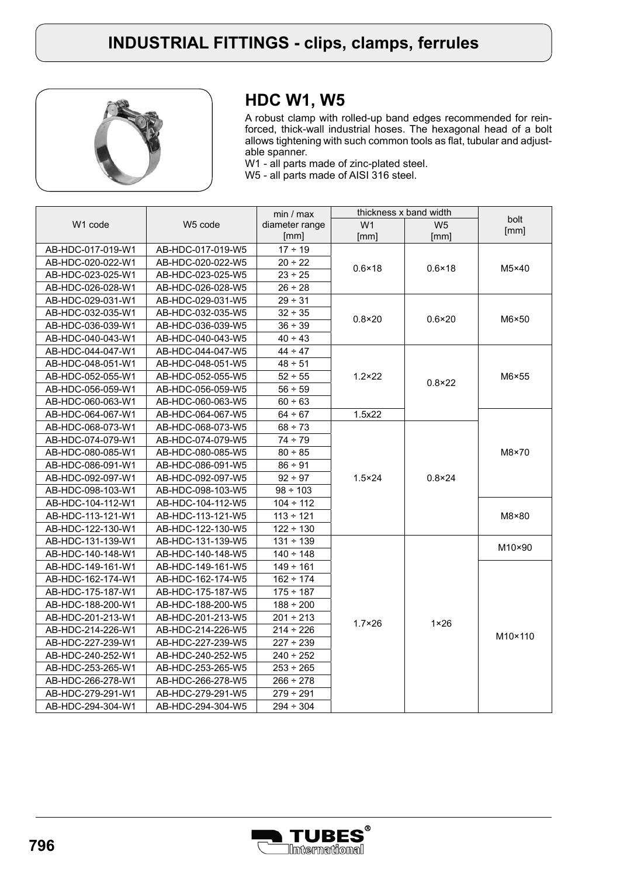

# **HDC W1, W5**

A robust clamp with rolled-up band edges recommended for reinforced, thick-wall industrial hoses. The hexagonal head of a bolt allows tightening with such common tools as flat, tubular and adjustable spanner.

W1 - all parts made of zinc-plated steel.

W5 - all parts made of AISI 316 steel.

|                     |                     | min / max      | thickness x band width |                 |              |
|---------------------|---------------------|----------------|------------------------|-----------------|--------------|
| W <sub>1</sub> code | W <sub>5</sub> code | diameter range | W <sub>1</sub>         | W <sub>5</sub>  | bolt<br>[mm] |
|                     |                     | [mm]           | [mm]                   | [mm]            |              |
| AB-HDC-017-019-W1   | AB-HDC-017-019-W5   | $17 \div 19$   |                        | $0.6 \times 18$ | M5×40        |
| AB-HDC-020-022-W1   | AB-HDC-020-022-W5   | $20 - 22$      | $0.6 \times 18$        |                 |              |
| AB-HDC-023-025-W1   | AB-HDC-023-025-W5   | $23 - 25$      |                        |                 |              |
| AB-HDC-026-028-W1   | AB-HDC-026-028-W5   | $26 \div 28$   |                        |                 |              |
| AB-HDC-029-031-W1   | AB-HDC-029-031-W5   | $29 - 31$      |                        | $0.6 \times 20$ | M6×50        |
| AB-HDC-032-035-W1   | AB-HDC-032-035-W5   | $32 \div 35$   | $0.8 \times 20$        |                 |              |
| AB-HDC-036-039-W1   | AB-HDC-036-039-W5   | $36 \div 39$   |                        |                 |              |
| AB-HDC-040-043-W1   | AB-HDC-040-043-W5   | $40 \div 43$   |                        |                 |              |
| AB-HDC-044-047-W1   | AB-HDC-044-047-W5   | $44 - 47$      |                        |                 | M6×55        |
| AB-HDC-048-051-W1   | AB-HDC-048-051-W5   | $48 \div 51$   |                        |                 |              |
| AB-HDC-052-055-W1   | AB-HDC-052-055-W5   | $52 \div 55$   | $1.2 \times 22$        | $0.8 \times 22$ |              |
| AB-HDC-056-059-W1   | AB-HDC-056-059-W5   | $56 - 59$      |                        |                 |              |
| AB-HDC-060-063-W1   | AB-HDC-060-063-W5   | 60 ÷ 63        |                        |                 |              |
| AB-HDC-064-067-W1   | AB-HDC-064-067-W5   | $64 \div 67$   | 1.5x22                 |                 | M8×70        |
| AB-HDC-068-073-W1   | AB-HDC-068-073-W5   | $68 - 73$      |                        |                 |              |
| AB-HDC-074-079-W1   | AB-HDC-074-079-W5   | $74 - 79$      |                        | $0.8 \times 24$ |              |
| AB-HDC-080-085-W1   | AB-HDC-080-085-W5   | $80 \div 85$   | $1.5 \times 24$        |                 |              |
| AB-HDC-086-091-W1   | AB-HDC-086-091-W5   | $86 - 91$      |                        |                 |              |
| AB-HDC-092-097-W1   | AB-HDC-092-097-W5   | $92 \div 97$   |                        |                 |              |
| AB-HDC-098-103-W1   | AB-HDC-098-103-W5   | $98 \div 103$  |                        |                 |              |
| AB-HDC-104-112-W1   | AB-HDC-104-112-W5   | $104 \div 112$ |                        |                 |              |
| AB-HDC-113-121-W1   | AB-HDC-113-121-W5   | $113 \div 121$ |                        |                 | M8×80        |
| AB-HDC-122-130-W1   | AB-HDC-122-130-W5   | $122 \div 130$ |                        |                 |              |
| AB-HDC-131-139-W1   | AB-HDC-131-139-W5   | $131 \div 139$ |                        | $1 \times 26$   | M10×90       |
| AB-HDC-140-148-W1   | AB-HDC-140-148-W5   | $140 \div 148$ |                        |                 |              |
| AB-HDC-149-161-W1   | AB-HDC-149-161-W5   | $149 \div 161$ | $1.7 \times 26$        |                 |              |
| AB-HDC-162-174-W1   | AB-HDC-162-174-W5   | $162 \div 174$ |                        |                 |              |
| AB-HDC-175-187-W1   | AB-HDC-175-187-W5   | $175 \div 187$ |                        |                 |              |
| AB-HDC-188-200-W1   | AB-HDC-188-200-W5   | $188 \div 200$ |                        |                 |              |
| AB-HDC-201-213-W1   | AB-HDC-201-213-W5   | $201 \div 213$ |                        |                 |              |
| AB-HDC-214-226-W1   | AB-HDC-214-226-W5   | $214 \div 226$ |                        |                 | M10×110      |
| AB-HDC-227-239-W1   | AB-HDC-227-239-W5   | $227 - 239$    |                        |                 |              |
| AB-HDC-240-252-W1   | AB-HDC-240-252-W5   | $240 - 252$    |                        |                 |              |
| AB-HDC-253-265-W1   | AB-HDC-253-265-W5   | $253 \div 265$ |                        |                 |              |
| AB-HDC-266-278-W1   | AB-HDC-266-278-W5   | $266 \div 278$ |                        |                 |              |
| AB-HDC-279-291-W1   | AB-HDC-279-291-W5   | $279 \div 291$ |                        |                 |              |
| AB-HDC-294-304-W1   | AB-HDC-294-304-W5   | $294 \div 304$ |                        |                 |              |